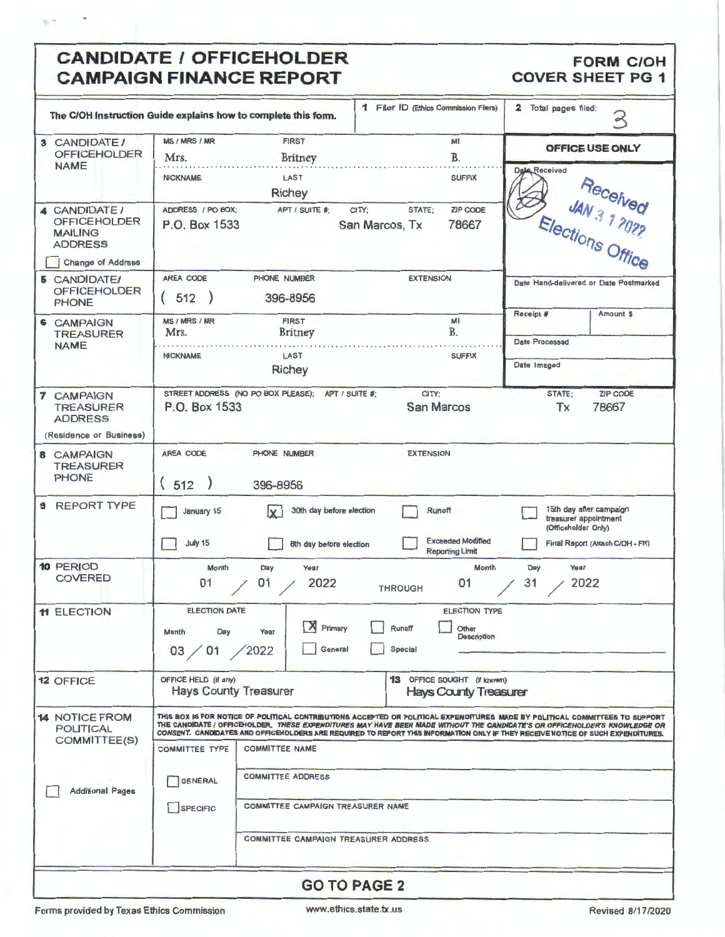## CANDIDATE / OFFICEHOLDER **CAMPAIGN** FINANCE REPORT

 $\tilde{\mathbf{g}}$  =

#### **FORM C/OH COVER SHEET PG 1**

|                                                                                      | The C/OH instruction Guide explains how to complete this form.                                                                                                                                                                                                                                                                                                                                                                                                                                                                                                                                | 1 Filer ID (Ethics Commission Filers)                                           | 2 Total pages filed:<br>3                                               |
|--------------------------------------------------------------------------------------|-----------------------------------------------------------------------------------------------------------------------------------------------------------------------------------------------------------------------------------------------------------------------------------------------------------------------------------------------------------------------------------------------------------------------------------------------------------------------------------------------------------------------------------------------------------------------------------------------|---------------------------------------------------------------------------------|-------------------------------------------------------------------------|
| 3 CANDIDATE/<br><b>OFFICEHOLDER</b><br><b>NAME</b>                                   | MS / MRS / MR<br><b>FIRST</b><br>Mrs.<br><b>Britney</b>                                                                                                                                                                                                                                                                                                                                                                                                                                                                                                                                       | MI<br>B.                                                                        | OFFICE USE ONLY                                                         |
|                                                                                      | <b>NICKNAME</b><br>LAST<br>Richey                                                                                                                                                                                                                                                                                                                                                                                                                                                                                                                                                             | <b>SUFFIX</b>                                                                   | Date Received                                                           |
| 4 CANDIDATE /<br><b>OFFICEHOLDER</b><br><b>MAILING</b><br><b>ADDRESS</b>             | ADDRESS / PO BOX;<br>APT / SUITE #:<br>P.O. Box 1533                                                                                                                                                                                                                                                                                                                                                                                                                                                                                                                                          | ZIP CODE<br>STATE;<br>CITY:<br>78667<br>San Marcos, Tx                          | <b>Received</b><br><b>AN 3 1 2022</b><br>Elections Office               |
| <b>Change of Address</b><br><b>5 CANDIDATE/</b>                                      | AREA CODE<br>PHONE NUMBER                                                                                                                                                                                                                                                                                                                                                                                                                                                                                                                                                                     | <b>EXTENSION</b>                                                                |                                                                         |
| <b>OFFICEHOLDER</b><br><b>PHONE</b>                                                  | 512<br>396-8956                                                                                                                                                                                                                                                                                                                                                                                                                                                                                                                                                                               |                                                                                 | Date Hand-delivered or Date Postmarked<br>Amount \$<br>Receipt #        |
| <b>6 CAMPAIGN</b><br><b>TREASURER</b>                                                | <b>FIRST</b><br>MS / MRS / MR<br>Mrs.<br>Britney                                                                                                                                                                                                                                                                                                                                                                                                                                                                                                                                              | MI<br><b>B.</b>                                                                 | Date Processed                                                          |
| <b>NAME</b>                                                                          | <b>NICKNAME</b><br>LAST                                                                                                                                                                                                                                                                                                                                                                                                                                                                                                                                                                       | <b>SUFFIX</b>                                                                   |                                                                         |
|                                                                                      | Richey                                                                                                                                                                                                                                                                                                                                                                                                                                                                                                                                                                                        |                                                                                 | Date Imaged                                                             |
| <b>7 CAMPAIGN</b><br><b>TREASURER</b><br><b>ADDRESS</b><br>(Residence or Business)   | STREET ADDRESS (NO PO BOX PLEASE);<br>P.O. Box 1533                                                                                                                                                                                                                                                                                                                                                                                                                                                                                                                                           | CITY:<br>APT / SUITE #:<br><b>San Marcos</b>                                    | <b>ZIP CODE</b><br>STATE:<br>78667<br>Tx                                |
|                                                                                      | AREA CODE<br>PHONE NUMBER                                                                                                                                                                                                                                                                                                                                                                                                                                                                                                                                                                     | <b>EXTENSION</b>                                                                |                                                                         |
| 8 CAMPAIGN<br><b>TREASURER</b><br><b>PHONE</b>                                       | (512)<br>396-8956                                                                                                                                                                                                                                                                                                                                                                                                                                                                                                                                                                             |                                                                                 |                                                                         |
| <b>REPORT TYPE</b><br>$\mathbf{9}$                                                   | 30th day before election<br>January 15<br>IX.                                                                                                                                                                                                                                                                                                                                                                                                                                                                                                                                                 | Runoff                                                                          | 15th day after campaign<br>treasurer appointment<br>(Officeholder Only) |
|                                                                                      | <b>July 15</b><br>8th day before election                                                                                                                                                                                                                                                                                                                                                                                                                                                                                                                                                     | <b>Exceeded Modified</b><br><b>Reporting Limit</b>                              | Final Report (Attach C/OH - FR)                                         |
| 10 PERIOD<br><b>COVERED</b>                                                          | Month<br>Year<br>Day<br>2022<br>01<br>01                                                                                                                                                                                                                                                                                                                                                                                                                                                                                                                                                      | Month<br>01<br><b>THROUGH</b>                                                   | Year<br>Day<br>2022<br>31                                               |
| 11 ELECTION                                                                          | <b>ELECTION DATE</b><br>$\mathbb{X}$ Primary<br>Month<br>Day<br>Year<br>General<br>03 / 01 / 2022                                                                                                                                                                                                                                                                                                                                                                                                                                                                                             | <b>ELECTION TYPE</b><br>Runoff<br>Other<br><b>Description</b><br><b>Special</b> |                                                                         |
| <b>12 OFFICE</b>                                                                     | OFFICE HELD (if any)<br><b>Hays County Treasurer</b>                                                                                                                                                                                                                                                                                                                                                                                                                                                                                                                                          | <b>13</b> OFFICE SOUGHT (if known)<br><b>Hays County Treasurer</b>              |                                                                         |
| <b>14 NOTICE FROM</b><br><b>POLITICAL</b><br>COMMITTEE(S)<br><b>Additional Pages</b> | THIS BOX IS FOR NOTICE OF POLITICAL CONTRIBUTIONS ACCEPTED OR POLITICAL EXPENDITURES MADE BY POLITICAL COMMITTEES TO SUPPORT<br>THE CANDIDATE / OFFICEHOLDER. THESE EXPENDITURES MAY HAVE BEEN MADE WITHOUT THE CANDIDATE'S OR OFFICEHOLDER'S KNOWLEDGE OR<br>CONSENT. CANDIDATES AND OFFICENDLDERS ARE REQUIRED TO REPORT THIS INFORMATION ONLY IF THEY RECEIVE NOTICE OF SUCH EXPENDITURES.<br><b>COMMITTEE TYPE</b><br><b>COMMITTEE NAME</b><br><b>COMMITTEE ADDRESS</b><br><b>GENERAL</b><br>COMMITTEE CAMPAIGN TREASURER NAME<br>SPECIFIC<br><b>COMMITTEE CAMPAIGN TREASURER ADDRESS</b> |                                                                                 |                                                                         |
|                                                                                      |                                                                                                                                                                                                                                                                                                                                                                                                                                                                                                                                                                                               | <b>GO TO PAGE 2</b>                                                             |                                                                         |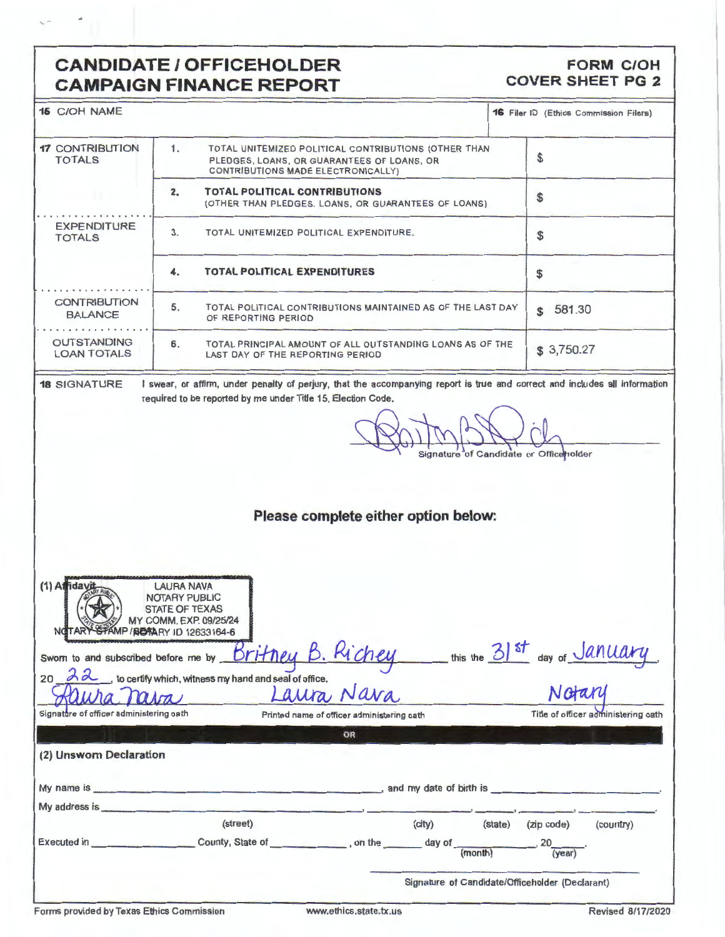### **CANDIDATE/ OFFICEHOLDER CAMPAIGN FINANCE REPORT**

#### **FORM C/OH COVER SHEET PG 2**

| <b>15 C/OH NAME</b>                                                                                                                                                                                                                  |                                                                                                                                                                                             |                                                 | 16 Filer ID (Ethics Commission Filers) |                                     |  |
|--------------------------------------------------------------------------------------------------------------------------------------------------------------------------------------------------------------------------------------|---------------------------------------------------------------------------------------------------------------------------------------------------------------------------------------------|-------------------------------------------------|----------------------------------------|-------------------------------------|--|
| <b>17 CONTRIBUTION</b><br><b>TOTALS</b>                                                                                                                                                                                              | 1.<br>TOTAL UNITEMIZED POLITICAL CONTRIBUTIONS (OTHER THAN<br>PLEDGES, LOANS, OR GUARANTEES OF LOANS, OR<br>CONTRIBUTIONS MADE ELECTRONICALLY)                                              |                                                 | \$                                     |                                     |  |
|                                                                                                                                                                                                                                      | <b>TOTAL POLITICAL CONTRIBUTIONS</b><br>2.<br>(OTHER THAN PLEDGES, LOANS, OR GUARANTEES OF LOANS)                                                                                           |                                                 | \$                                     |                                     |  |
| <b>EXPENDITURE</b><br><b>TOTALS</b>                                                                                                                                                                                                  | 3.                                                                                                                                                                                          | TOTAL UNITEMIZED POLITICAL EXPENDITURE.         |                                        |                                     |  |
|                                                                                                                                                                                                                                      | <b>TOTAL POLITICAL EXPENDITURES</b><br>4.                                                                                                                                                   |                                                 |                                        |                                     |  |
| <b>CONTRIBUTION</b><br><b>BALANCE</b>                                                                                                                                                                                                | 5.<br>TOTAL POLITICAL CONTRIBUTIONS MAINTAINED AS OF THE LAST DAY<br>OF REPORTING PERIOD                                                                                                    |                                                 |                                        |                                     |  |
| <b>OUTSTANDING</b><br><b>LOAN TOTALS</b>                                                                                                                                                                                             | TOTAL PRINCIPAL AMOUNT OF ALL OUTSTANDING LOANS AS OF THE<br>6.<br>LAST DAY OF THE REPORTING PERIOD                                                                                         |                                                 | \$3,750.27                             |                                     |  |
| <b>18 SIGNATURE</b>                                                                                                                                                                                                                  | I swear, or affirm, under penalty of perjury, that the accompanying report is true and correct and includes all information<br>required to be reported by me under Title 15, Election Code. |                                                 | Signature of Candidate or Officeholder |                                     |  |
|                                                                                                                                                                                                                                      | Please complete either option below:                                                                                                                                                        |                                                 |                                        |                                     |  |
| $(1)$ Afriday<br>NOTARY STAMP / SOAARY ID 12633164-6<br>Swom to and subscribed before me by                                                                                                                                          | <b>LAURA NAVA</b><br>NOTARY PUBLIC<br>STATE OF TEXAS<br><b>MY COMM. EXP. 09/25/24</b><br><u>Britney B. Ric</u>                                                                              |                                                 | this the 31st day of January           |                                     |  |
|                                                                                                                                                                                                                                      | 20 Ad, to certify which, witness my hand and seal of office.                                                                                                                                |                                                 | Notary                                 |                                     |  |
| Signature of officer administering oath                                                                                                                                                                                              | Laura Nava                                                                                                                                                                                  |                                                 |                                        | Title of officer administering oath |  |
|                                                                                                                                                                                                                                      | Printed name of officer administering oath<br><b>OR</b>                                                                                                                                     |                                                 |                                        |                                     |  |
| (2) Unswom Declaration                                                                                                                                                                                                               |                                                                                                                                                                                             |                                                 |                                        |                                     |  |
|                                                                                                                                                                                                                                      |                                                                                                                                                                                             |                                                 |                                        |                                     |  |
| My address is <b>All According to the According of the According of According to According the According of According to According the According to According the According to According the According to According the Accordin</b> |                                                                                                                                                                                             |                                                 |                                        |                                     |  |
|                                                                                                                                                                                                                                      | (street)                                                                                                                                                                                    | (city)                                          | (state) (zip code)                     | (country)                           |  |
|                                                                                                                                                                                                                                      |                                                                                                                                                                                             |                                                 | 20<br>(year)                           |                                     |  |
|                                                                                                                                                                                                                                      |                                                                                                                                                                                             | Signature of Candidate/Officeholder (Declarant) |                                        |                                     |  |